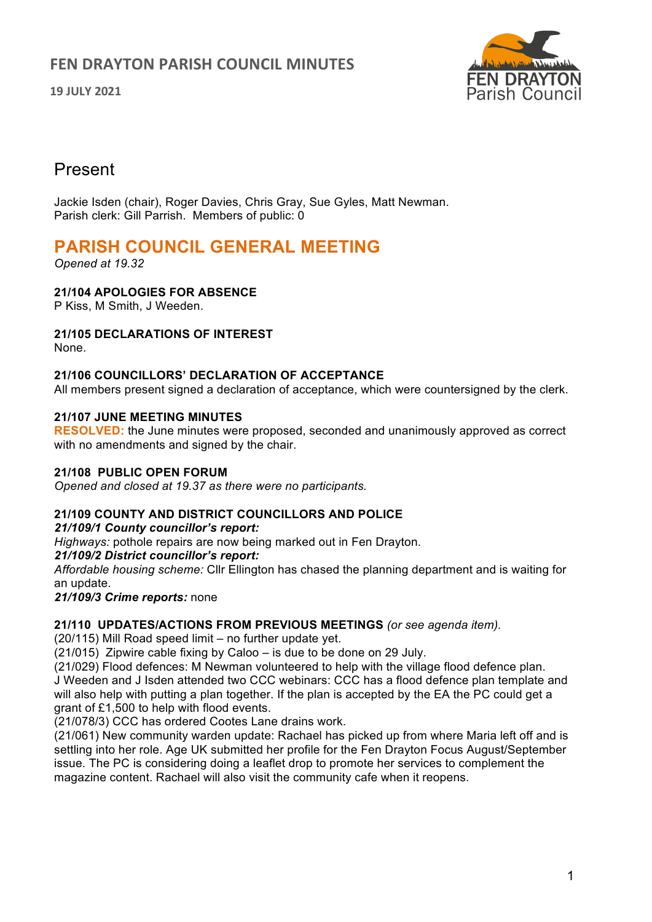# **FEN DRAYTON PARISH COUNCIL MINUTES**

**19 JULY 2021**



# Present

Jackie Isden (chair), Roger Davies, Chris Gray, Sue Gyles, Matt Newman. Parish clerk: Gill Parrish. Members of public: 0

# **PARISH COUNCIL GENERAL MEETING**

*Opened at 19.32*

## **21/104 APOLOGIES FOR ABSENCE**

P Kiss, M Smith, J Weeden.

#### **21/105 DECLARATIONS OF INTEREST**

None.

#### **21/106 COUNCILLORS' DECLARATION OF ACCEPTANCE**

All members present signed a declaration of acceptance, which were countersigned by the clerk.

#### **21/107 JUNE MEETING MINUTES**

**RESOLVED:** the June minutes were proposed, seconded and unanimously approved as correct with no amendments and signed by the chair.

#### **21/108 PUBLIC OPEN FORUM**

*Opened and closed at 19.37 as there were no participants.*

#### **21/109 COUNTY AND DISTRICT COUNCILLORS AND POLICE**

#### *21/109/1 County councillor's report:*

*Highways:* pothole repairs are now being marked out in Fen Drayton.

#### *21/109/2 District councillor's report:*

*Affordable housing scheme:* Cllr Ellington has chased the planning department and is waiting for an update.

#### *21/109/3 Crime reports:* none

#### **21/110 UPDATES/ACTIONS FROM PREVIOUS MEETINGS** *(or see agenda item).*

(20/115) Mill Road speed limit – no further update yet.

(21/015) Zipwire cable fixing by Caloo – is due to be done on 29 July.

(21/029) Flood defences: M Newman volunteered to help with the village flood defence plan. J Weeden and J Isden attended two CCC webinars: CCC has a flood defence plan template and will also help with putting a plan together. If the plan is accepted by the EA the PC could get a grant of £1,500 to help with flood events.

(21/078/3) CCC has ordered Cootes Lane drains work.

(21/061) New community warden update: Rachael has picked up from where Maria left off and is settling into her role. Age UK submitted her profile for the Fen Drayton Focus August/September issue. The PC is considering doing a leaflet drop to promote her services to complement the magazine content. Rachael will also visit the community cafe when it reopens.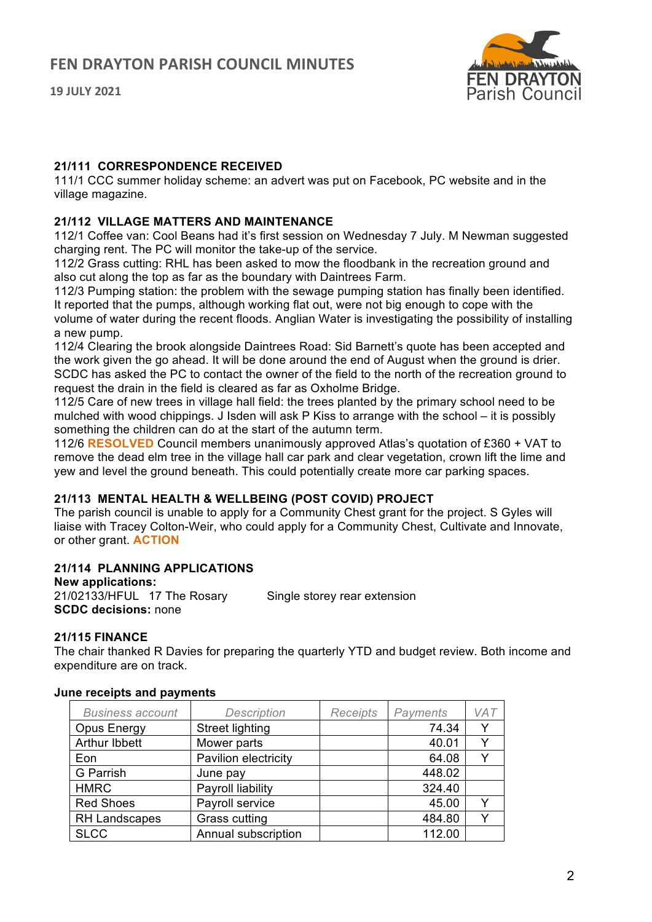



#### **21/111 CORRESPONDENCE RECEIVED**

111/1 CCC summer holiday scheme: an advert was put on Facebook, PC website and in the village magazine.

#### **21/112 VILLAGE MATTERS AND MAINTENANCE**

112/1 Coffee van: Cool Beans had it's first session on Wednesday 7 July. M Newman suggested charging rent. The PC will monitor the take-up of the service.

112/2 Grass cutting: RHL has been asked to mow the floodbank in the recreation ground and also cut along the top as far as the boundary with Daintrees Farm.

112/3 Pumping station: the problem with the sewage pumping station has finally been identified. It reported that the pumps, although working flat out, were not big enough to cope with the volume of water during the recent floods. Anglian Water is investigating the possibility of installing a new pump.

112/4 Clearing the brook alongside Daintrees Road: Sid Barnett's quote has been accepted and the work given the go ahead. It will be done around the end of August when the ground is drier. SCDC has asked the PC to contact the owner of the field to the north of the recreation ground to request the drain in the field is cleared as far as Oxholme Bridge.

112/5 Care of new trees in village hall field: the trees planted by the primary school need to be mulched with wood chippings. J Isden will ask P Kiss to arrange with the school – it is possibly something the children can do at the start of the autumn term.

112/6 **RESOLVED** Council members unanimously approved Atlas's quotation of £360 + VAT to remove the dead elm tree in the village hall car park and clear vegetation, crown lift the lime and yew and level the ground beneath. This could potentially create more car parking spaces.

## **21/113 MENTAL HEALTH & WELLBEING (POST COVID) PROJECT**

The parish council is unable to apply for a Community Chest grant for the project. S Gyles will liaise with Tracey Colton-Weir, who could apply for a Community Chest, Cultivate and Innovate, or other grant. **ACTION**

## **21/114 PLANNING APPLICATIONS**

**New applications:**

21/02133/HFUL 17 The Rosary Single storey rear extension

**21/115 FINANCE**

**SCDC decisions:** none

The chair thanked R Davies for preparing the quarterly YTD and budget review. Both income and expenditure are on track.

| <b>Business account</b> | <b>Description</b>     | <b>Receipts</b> | Payments | VA <sub>7</sub> |
|-------------------------|------------------------|-----------------|----------|-----------------|
| Opus Energy             | <b>Street lighting</b> |                 | 74.34    |                 |
| <b>Arthur Ibbett</b>    | Mower parts            |                 | 40.01    |                 |
| Eon                     | Pavilion electricity   |                 | 64.08    |                 |
| <b>G</b> Parrish        | June pay               |                 | 448.02   |                 |
| <b>HMRC</b>             | Payroll liability      |                 | 324.40   |                 |
| <b>Red Shoes</b>        | Payroll service        |                 | 45.00    |                 |
| RH Landscapes           | Grass cutting          |                 | 484.80   |                 |
| <b>SLCC</b>             | Annual subscription    |                 | 112.00   |                 |

#### **June receipts and payments**